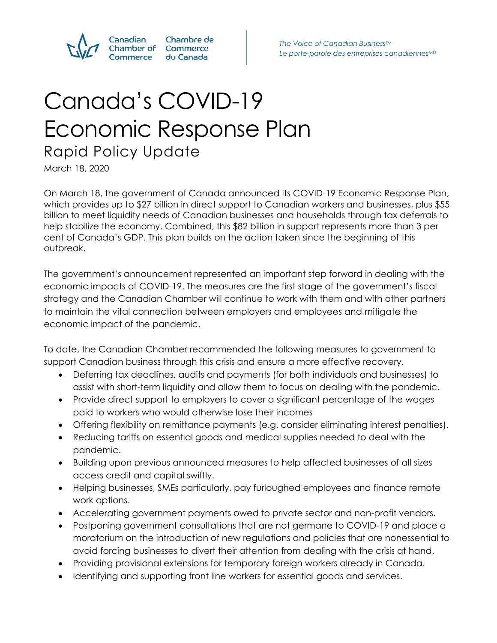

Chambre de **Commerce** du Canada

# Canada's COVID-19 Economic Response Plan Rapid Policy Update

March 18, 2020

On March 18, the government of Canada announced its COVID-19 Economic Response Plan, which provides up to \$27 billion in direct support to Canadian workers and businesses, plus \$55 billion to meet liquidity needs of Canadian businesses and households through tax deferrals to help stabilize the economy. Combined, this \$82 billion in support represents more than 3 per cent of Canada's GDP. This plan builds on the action taken since the beginning of this outbreak.

The government's announcement represented an important step forward in dealing with the economic impacts of COVID-19. The measures are the first stage of the government's fiscal strategy and the Canadian Chamber will continue to work with them and with other partners to maintain the vital connection between employers and employees and mitigate the economic impact of the pandemic.

To date, the Canadian Chamber recommended the following measures to government to support Canadian business through this crisis and ensure a more effective recovery.

- Deferring tax deadlines, audits and payments (for both individuals and businesses) to assist with short-term liquidity and allow them to focus on dealing with the pandemic.
- Provide direct support to employers to cover a significant percentage of the wages paid to workers who would otherwise lose their incomes
- Offering flexibility on remittance payments (e.g. consider eliminating interest penalties).
- Reducing tariffs on essential goods and medical supplies needed to deal with the pandemic.
- Building upon previous announced measures to help affected businesses of all sizes access credit and capital swiftly.
- Helping businesses, SMEs particularly, pay furloughed employees and finance remote work options.
- Accelerating government payments owed to private sector and non-profit vendors.
- Postponing government consultations that are not germane to COVID-19 and place a moratorium on the introduction of new regulations and policies that are nonessential to avoid forcing businesses to divert their attention from dealing with the crisis at hand.
- Providing provisional extensions for temporary foreign workers already in Canada.
- Identifying and supporting front line workers for essential goods and services.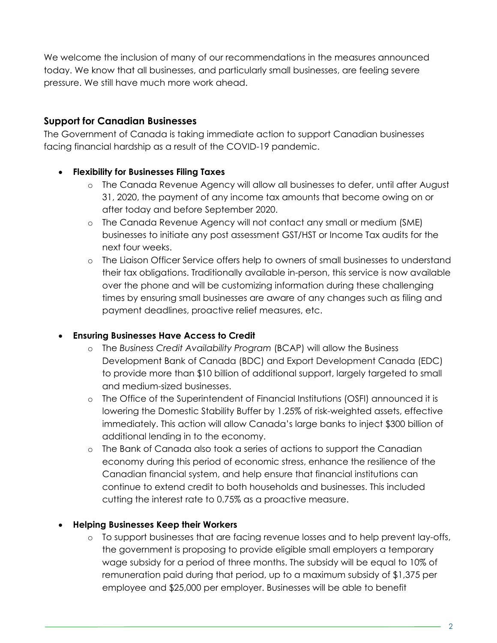We welcome the inclusion of many of our recommendations in the measures announced today. We know that all businesses, and particularly small businesses, are feeling severe pressure. We still have much more work ahead.

# **Support for Canadian Businesses**

The Government of Canada is taking immediate action to support Canadian businesses facing financial hardship as a result of the COVID-19 pandemic.

## **Flexibility for Businesses Filing Taxes**

- o The Canada Revenue Agency will allow all businesses to defer, until after August 31, 2020, the payment of any income tax amounts that become owing on or after today and before September 2020.
- o The Canada Revenue Agency will not contact any small or medium (SME) businesses to initiate any post assessment GST/HST or Income Tax audits for the next four weeks.
- o The Liaison Officer Service offers help to owners of small businesses to understand their tax obligations. Traditionally available in-person, this service is now available over the phone and will be customizing information during these challenging times by ensuring small businesses are aware of any changes such as filing and payment deadlines, proactive relief measures, etc.

#### **Ensuring Businesses Have Access to Credit**

- o The *Business Credit Availability Program* (BCAP) will allow the Business Development Bank of Canada (BDC) and Export Development Canada (EDC) to provide more than \$10 billion of additional support, largely targeted to small and medium-sized businesses.
- o The Office of the Superintendent of Financial Institutions (OSFI) announced it is lowering the Domestic Stability Buffer by 1.25% of risk-weighted assets, effective immediately. This action will allow Canada's large banks to inject \$300 billion of additional lending in to the economy.
- o The Bank of Canada also took a series of actions to support the Canadian economy during this period of economic stress, enhance the resilience of the Canadian financial system, and help ensure that financial institutions can continue to extend credit to both households and businesses. This included cutting the interest rate to 0.75% as a proactive measure.

# **Helping Businesses Keep their Workers**

o To support businesses that are facing revenue losses and to help prevent lay-offs, the government is proposing to provide eligible small employers a temporary wage subsidy for a period of three months. The subsidy will be equal to 10% of remuneration paid during that period, up to a maximum subsidy of \$1,375 per employee and \$25,000 per employer. Businesses will be able to benefit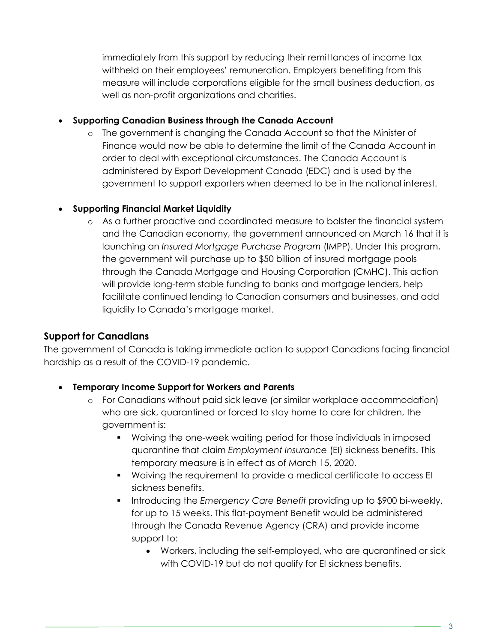immediately from this support by reducing their remittances of income tax withheld on their employees' remuneration. Employers benefiting from this measure will include corporations eligible for the small business deduction, as well as non-profit organizations and charities.

#### **Supporting Canadian Business through the Canada Account**

o The government is changing the Canada Account so that the Minister of Finance would now be able to determine the limit of the Canada Account in order to deal with exceptional circumstances. The Canada Account is administered by Export Development Canada (EDC) and is used by the government to support exporters when deemed to be in the national interest.

#### **Supporting Financial Market Liquidity**

o As a further proactive and coordinated measure to bolster the financial system and the Canadian economy, the government announced on March 16 that it is launching an *Insured Mortgage Purchase Program* (IMPP). Under this program, the government will purchase up to \$50 billion of insured mortgage pools through the Canada Mortgage and Housing Corporation (CMHC). This action will provide long-term stable funding to banks and mortgage lenders, help facilitate continued lending to Canadian consumers and businesses, and add liquidity to Canada's mortgage market.

#### **Support for Canadians**

The government of Canada is taking immediate action to support Canadians facing financial hardship as a result of the COVID-19 pandemic.

#### **Temporary Income Support for Workers and Parents**

- o For Canadians without paid sick leave (or similar workplace accommodation) who are sick, quarantined or forced to stay home to care for children, the government is:
	- Waiving the one-week waiting period for those individuals in imposed quarantine that claim *Employment Insurance* (EI) sickness benefits. This temporary measure is in effect as of March 15, 2020.
	- Waiving the requirement to provide a medical certificate to access EI sickness benefits.
	- Introducing the *Emergency Care Benefit* providing up to \$900 bi-weekly, for up to 15 weeks. This flat-payment Benefit would be administered through the Canada Revenue Agency (CRA) and provide income support to:
		- Workers, including the self-employed, who are quarantined or sick with COVID-19 but do not qualify for EI sickness benefits.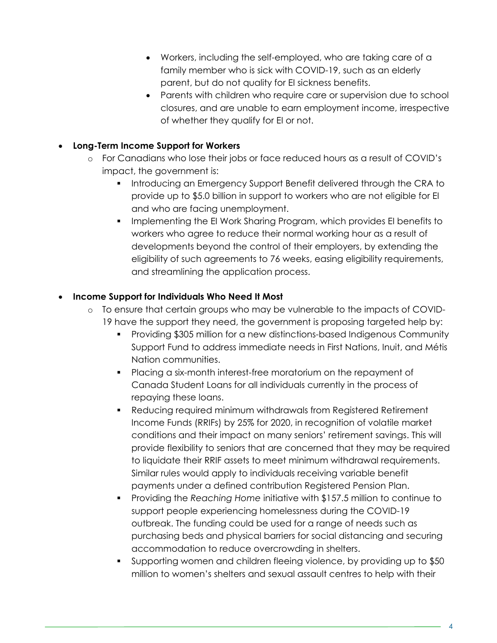- Workers, including the self-employed, who are taking care of a family member who is sick with COVID-19, such as an elderly parent, but do not quality for EI sickness benefits.
- Parents with children who require care or supervision due to school closures, and are unable to earn employment income, irrespective of whether they qualify for EI or not.

### **Long-Term Income Support for Workers**

- o For Canadians who lose their jobs or face reduced hours as a result of COVID's impact, the government is:
	- **Introducing an Emergency Support Benefit delivered through the CRA to** provide up to \$5.0 billion in support to workers who are not eligible for EI and who are facing unemployment.
	- Implementing the EI Work Sharing Program, which provides EI benefits to workers who agree to reduce their normal working hour as a result of developments beyond the control of their employers, by extending the eligibility of such agreements to 76 weeks, easing eligibility requirements, and streamlining the application process.

#### **Income Support for Individuals Who Need It Most**

- o To ensure that certain groups who may be vulnerable to the impacts of COVID-19 have the support they need, the government is proposing targeted help by:
	- Providing \$305 million for a new distinctions-based Indigenous Community Support Fund to address immediate needs in First Nations, Inuit, and Métis Nation communities.
	- Placing a six-month interest-free moratorium on the repayment of Canada Student Loans for all individuals currently in the process of repaying these loans.
	- Reducing required minimum withdrawals from Registered Retirement Income Funds (RRIFs) by 25% for 2020, in recognition of volatile market conditions and their impact on many seniors' retirement savings. This will provide flexibility to seniors that are concerned that they may be required to liquidate their RRIF assets to meet minimum withdrawal requirements. Similar rules would apply to individuals receiving variable benefit payments under a defined contribution Registered Pension Plan.
	- Providing the *Reaching Home* initiative with \$157.5 million to continue to support people experiencing homelessness during the COVID-19 outbreak. The funding could be used for a range of needs such as purchasing beds and physical barriers for social distancing and securing accommodation to reduce overcrowding in shelters.
	- Supporting women and children fleeing violence, by providing up to \$50 million to women's shelters and sexual assault centres to help with their

4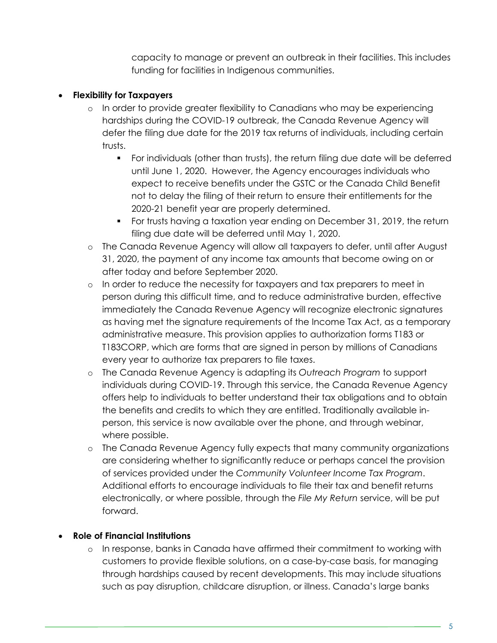capacity to manage or prevent an outbreak in their facilities. This includes funding for facilities in Indigenous communities.

#### **Flexibility for Taxpayers**

- o In order to provide greater flexibility to Canadians who may be experiencing hardships during the COVID-19 outbreak, the Canada Revenue Agency will defer the filing due date for the 2019 tax returns of individuals, including certain trusts.
	- For individuals (other than trusts), the return filing due date will be deferred until June 1, 2020. However, the Agency encourages individuals who expect to receive benefits under the GSTC or the Canada Child Benefit not to delay the filing of their return to ensure their entitlements for the 2020-21 benefit year are properly determined.
	- For trusts having a taxation year ending on December 31, 2019, the return filing due date will be deferred until May 1, 2020.
- o The Canada Revenue Agency will allow all taxpayers to defer, until after August 31, 2020, the payment of any income tax amounts that become owing on or after today and before September 2020.
- o In order to reduce the necessity for taxpayers and tax preparers to meet in person during this difficult time, and to reduce administrative burden, effective immediately the Canada Revenue Agency will recognize electronic signatures as having met the signature requirements of the Income Tax Act, as a temporary administrative measure. This provision applies to authorization forms T183 or T183CORP, which are forms that are signed in person by millions of Canadians every year to authorize tax preparers to file taxes.
- o The Canada Revenue Agency is adapting its *Outreach Program* to support individuals during COVID-19. Through this service, the Canada Revenue Agency offers help to individuals to better understand their tax obligations and to obtain the benefits and credits to which they are entitled. Traditionally available inperson, this service is now available over the phone, and through webinar, where possible.
- o The Canada Revenue Agency fully expects that many community organizations are considering whether to significantly reduce or perhaps cancel the provision of services provided under the *Community Volunteer Income Tax Program*. Additional efforts to encourage individuals to file their tax and benefit returns electronically, or where possible, through the *File My Return* service, will be put forward.

# **Role of Financial Institutions**

o In response, banks in Canada have affirmed their commitment to working with customers to provide flexible solutions, on a case-by-case basis, for managing through hardships caused by recent developments. This may include situations such as pay disruption, childcare disruption, or illness. Canada's large banks